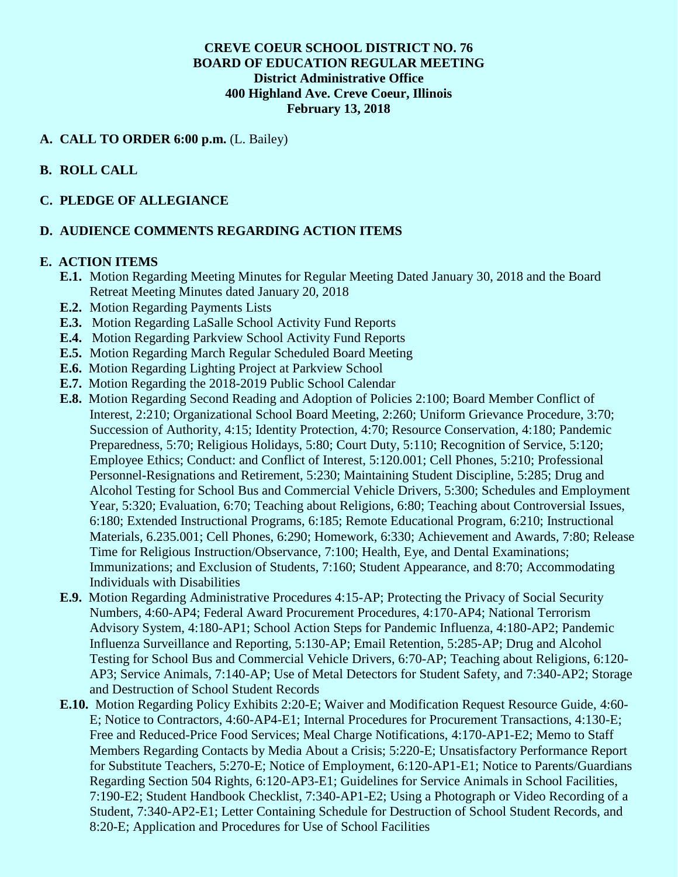## **CREVE COEUR SCHOOL DISTRICT NO. 76 BOARD OF EDUCATION REGULAR MEETING District Administrative Office 400 Highland Ave. Creve Coeur, Illinois February 13, 2018**

## **A. CALL TO ORDER 6:00 p.m.** (L. Bailey)

## **B. ROLL CALL**

## **C. PLEDGE OF ALLEGIANCE**

#### **D. AUDIENCE COMMENTS REGARDING ACTION ITEMS**

#### **E. ACTION ITEMS**

- **E.1.** Motion Regarding Meeting Minutes for Regular Meeting Dated January 30, 2018 and the Board Retreat Meeting Minutes dated January 20, 2018
- **E.2.** Motion Regarding Payments Lists
- **E.3.** Motion Regarding LaSalle School Activity Fund Reports
- **E.4.** Motion Regarding Parkview School Activity Fund Reports
- **E.5.** Motion Regarding March Regular Scheduled Board Meeting
- **E.6.** Motion Regarding Lighting Project at Parkview School
- **E.7.** Motion Regarding the 2018-2019 Public School Calendar
- **E.8.** Motion Regarding Second Reading and Adoption of Policies 2:100; Board Member Conflict of Interest, 2:210; Organizational School Board Meeting, 2:260; Uniform Grievance Procedure, 3:70; Succession of Authority, 4:15; Identity Protection, 4:70; Resource Conservation, 4:180; Pandemic Preparedness, 5:70; Religious Holidays, 5:80; Court Duty, 5:110; Recognition of Service, 5:120; Employee Ethics; Conduct: and Conflict of Interest, 5:120.001; Cell Phones, 5:210; Professional Personnel-Resignations and Retirement, 5:230; Maintaining Student Discipline, 5:285; Drug and Alcohol Testing for School Bus and Commercial Vehicle Drivers, 5:300; Schedules and Employment Year, 5:320; Evaluation, 6:70; Teaching about Religions, 6:80; Teaching about Controversial Issues, 6:180; Extended Instructional Programs, 6:185; Remote Educational Program, 6:210; Instructional Materials, 6.235.001; Cell Phones, 6:290; Homework, 6:330; Achievement and Awards, 7:80; Release Time for Religious Instruction/Observance, 7:100; Health, Eye, and Dental Examinations; Immunizations; and Exclusion of Students, 7:160; Student Appearance, and 8:70; Accommodating Individuals with Disabilities
- **E.9.** Motion Regarding Administrative Procedures 4:15-AP; Protecting the Privacy of Social Security Numbers, 4:60-AP4; Federal Award Procurement Procedures, 4:170-AP4; National Terrorism Advisory System, 4:180-AP1; School Action Steps for Pandemic Influenza, 4:180-AP2; Pandemic Influenza Surveillance and Reporting, 5:130-AP; Email Retention, 5:285-AP; Drug and Alcohol Testing for School Bus and Commercial Vehicle Drivers, 6:70-AP; Teaching about Religions, 6:120- AP3; Service Animals, 7:140-AP; Use of Metal Detectors for Student Safety, and 7:340-AP2; Storage and Destruction of School Student Records
- **E.10.** Motion Regarding Policy Exhibits 2:20-E; Waiver and Modification Request Resource Guide, 4:60- E; Notice to Contractors, 4:60-AP4-E1; Internal Procedures for Procurement Transactions, 4:130-E; Free and Reduced-Price Food Services; Meal Charge Notifications, 4:170-AP1-E2; Memo to Staff Members Regarding Contacts by Media About a Crisis; 5:220-E; Unsatisfactory Performance Report for Substitute Teachers, 5:270-E; Notice of Employment, 6:120-AP1-E1; Notice to Parents/Guardians Regarding Section 504 Rights, 6:120-AP3-E1; Guidelines for Service Animals in School Facilities, 7:190-E2; Student Handbook Checklist, 7:340-AP1-E2; Using a Photograph or Video Recording of a Student, 7:340-AP2-E1; Letter Containing Schedule for Destruction of School Student Records, and 8:20-E; Application and Procedures for Use of School Facilities